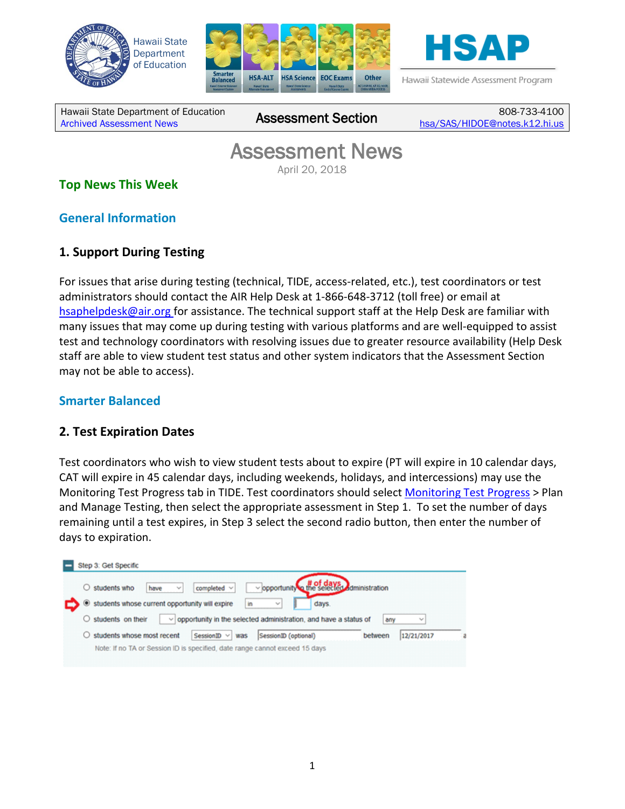





Hawaii Statewide Assessment Program

Hawaii State Department of Education [Archived Assessment News](http://alohahsap.org/SMARTERBALANCED/resources/?section=91) Assessment Section 808-733-4100

[hsa/SAS/HIDOE@notes.k12.hi.us](mailto:hsa/SAS/HIDOE@notes.k12.hi.us)

# **Assessment News**<br>April 20, 2018

### **Top News This Week**

### **General Information**

### **1. Support During Testing**

For issues that arise during testing (technical, TIDE, access-related, etc.), test coordinators or test administrators should contact the AIR Help Desk at 1-866-648-3712 (toll free) or email at hsaphelpdesk@air.org for assistance. The technical support staff at the Help Desk are familiar with many issues that may come up during testing with various platforms and are well-equipped to assist test and technology coordinators with resolving issues due to greater resource availability (Help Desk staff are able to view student test status and other system indicators that the Assessment Section may not be able to access).

### **Smarter Balanced**

### **2. Test Expiration Dates**

Test coordinators who wish to view student tests about to expire (PT will expire in 10 calendar days, CAT will expire in 45 calendar days, including weekends, holidays, and intercessions) may use the Monitoring Test Progress tab in TIDE. Test coordinators should select **Monitoring Test Progress** > Plan and Manage Testing, then select the appropriate assessment in Step 1. To set the number of days remaining until a test expires, in Step 3 select the second radio button, then enter the number of days to expiration.

| opportunity of the selected dministration<br>$\bigcirc$ students who<br>$completed \sim$<br>have<br>$\sim$        |            |
|-------------------------------------------------------------------------------------------------------------------|------------|
| Situdents whose current opportunity will expire<br>days.<br>in<br>w                                               |            |
|                                                                                                                   | $\sim$     |
| $\bigcirc$ students on their<br>opportunity in the selected administration, and have a status of<br>$\sim$<br>any |            |
| students whose most recent<br>SessionID $\vee$<br>SessionID (optional)<br>between<br>was                          | 12/21/2017 |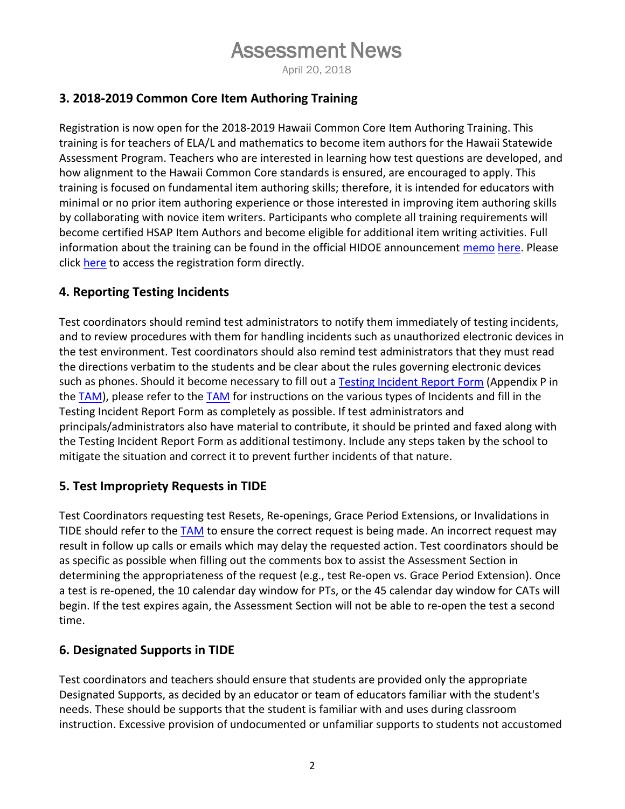### **3. 2018-2019 Common Core Item Authoring Training**

Registration is now open for the 2018-2019 Hawaii Common Core Item Authoring Training. This training is for teachers of ELA/L and mathematics to become item authors for the Hawaii Statewide Assessment Program. Teachers who are interested in learning how test questions are developed, and how alignment to the Hawaii Common Core standards is ensured, are encouraged to apply. This training is focused on fundamental item authoring skills; therefore, it is intended for educators with minimal or no prior item authoring experience or those interested in improving item authoring skills by collaborating with novice item writers. Participants who complete all training requirements will become certified HSAP Item Authors and become eligible for additional item writing activities. Full information about the training can be found in the official HIDOE announcement [memo](https://smarterbalanced.alohahsap.org/core/fileparse.php/3410/urlt/Memo-2018-19-Hawaii-Common-Core-Item-Authoring-Training-04.16.18.pdf) [here.](https://smarterbalanced.alohahsap.org/core/fileparse.php/3410/urlt/Memo-2018-19-Hawaii-Common-Core-Item-Authoring-Training-04.16.18.pdf) Please click [here](https://events.r20.constantcontact.com/register/eventReg?oeidk=a07ef9d4ewr18712dc0&oseq=&c=&ch=) to access the registration form directly.

### **4. Reporting Testing Incidents**

Test coordinators should remind test administrators to notify them immediately of testing incidents, and to review procedures with them for handling incidents such as unauthorized electronic devices in the test environment. Test coordinators should also remind test administrators that they must read the directions verbatim to the students and be clear about the rules governing electronic devices such as phones. Should it become necessary to fill out a [Testing Incident Report Form](https://smarterbalanced.alohahsap.org/assets/documents/test-administration-forms/2017-2018-Testing-Incident-Report-Form.pdf) (Appendix P in the [TAM\)](https://smarterbalanced.alohahsap.org/core/fileparse.php/3410/urlt/Smarter-Balanced-Summative-TAM_2017-2018.pdf), please refer to the [TAM](https://smarterbalanced.alohahsap.org/resources/test-administration/) for instructions on the various types of Incidents and fill in the Testing Incident Report Form as completely as possible. If test administrators and principals/administrators also have material to contribute, it should be printed and faxed along with the Testing Incident Report Form as additional testimony. Include any steps taken by the school to mitigate the situation and correct it to prevent further incidents of that nature.

### **5. Test Impropriety Requests in TIDE**

Test Coordinators requesting test Resets, Re-openings, Grace Period Extensions, or Invalidations in TIDE should refer to the [TAM](https://smarterbalanced.alohahsap.org/core/fileparse.php/3410/urlt/Smarter-Balanced-Summative-TAM_2017-2018.pdf) to ensure the correct request is being made. An incorrect request may result in follow up calls or emails which may delay the requested action. Test coordinators should be as specific as possible when filling out the comments box to assist the Assessment Section in determining the appropriateness of the request (e.g., test Re-open vs. Grace Period Extension). Once a test is re-opened, the 10 calendar day window for PTs, or the 45 calendar day window for CATs will begin. If the test expires again, the Assessment Section will not be able to re-open the test a second time.

### **6. Designated Supports in TIDE**

Test coordinators and teachers should ensure that students are provided only the appropriate Designated Supports, as decided by an educator or team of educators familiar with the student's needs. These should be supports that the student is familiar with and uses during classroom instruction. Excessive provision of undocumented or unfamiliar supports to students not accustomed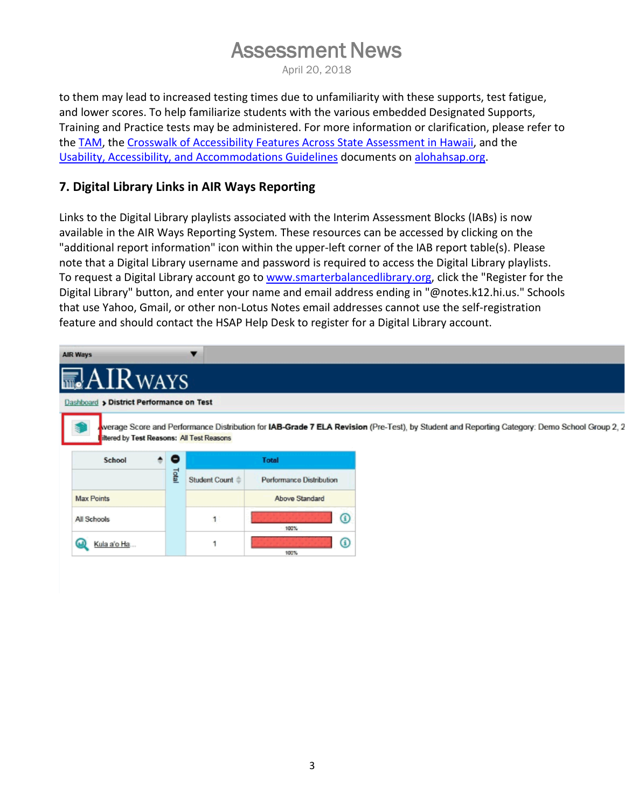to them may lead to increased testing times due to unfamiliarity with these supports, test fatigue, and lower scores. To help familiarize students with the various embedded Designated Supports, Training and Practice tests may be administered. For more information or clarification, please refer to the [TAM,](https://smarterbalanced.alohahsap.org/resources/test-administration/) the [Crosswalk of Accessibility Features Across State Assessment in Hawaii,](https://smarterbalanced.alohahsap.org/core/fileparse.php/3410/urlt/Crosswalk-of-Accessibility-Features-Across-State-Assessments-in-Hawaii_17-18.pdf) and the [Usability, Accessibility, and Accommodations Guidelines](https://smarterbalanced.alohahsap.org/resources/test-administration/) documents on [alohahsap.org.](https://alohahsap.org/)

### **7. Digital Library Links in AIR Ways Reporting**

Links to the Digital Library playlists associated with the Interim Assessment Blocks (IABs) is now available in the AIR Ways Reporting System*.* These resources can be accessed by clicking on the "additional report information" icon within the upper-left corner of the IAB report table(s). Please note that a Digital Library username and password is required to access the Digital Library playlists. To request a Digital Library account go to www.smarterbalancedlibrary.org, click the "Register for the Digital Library" button, and enter your name and email address ending in "@notes.k12.hi.us." Schools that use Yahoo, Gmail, or other non-Lotus Notes email addresses cannot use the self-registration feature and should contact the HSAP Help Desk to register for a Digital Library account.

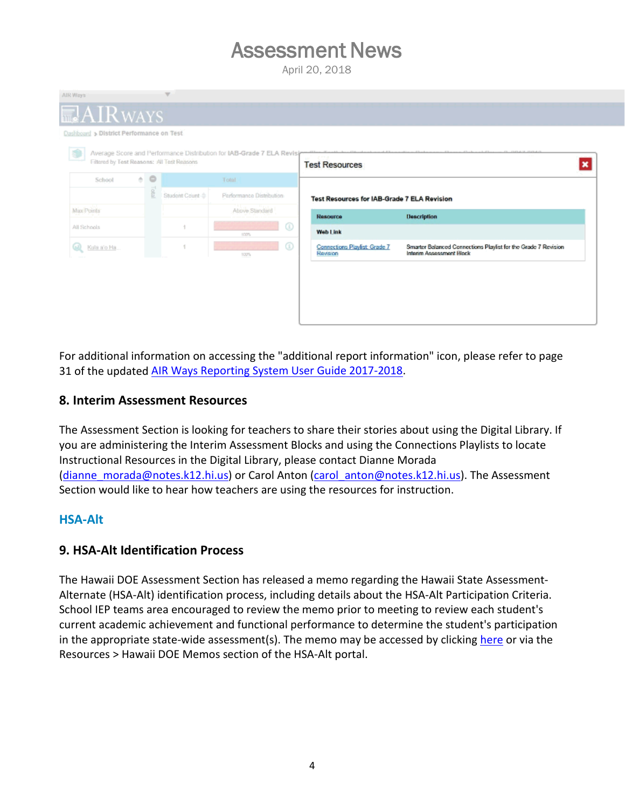

For additional information on accessing the "additional report information" icon, please refer to page 31 of the updated [AIR Ways Reporting System User Guide 2017-2018.](https://smarterbalanced.alohahsap.org/core/fileparse.php/3410/urlt/AIRWays_ProductGuide_2017-2018.pdf)

#### **8. Interim Assessment Resources**

The Assessment Section is looking for teachers to share their stories about using the Digital Library. If you are administering the Interim Assessment Blocks and using the Connections Playlists to locate Instructional Resources in the Digital Library, please contact Dianne Morada [\(dianne\\_morada@notes.k12.hi.us\)](mailto:dianne_morada@notes.k12.hi.us) or Carol Anton [\(carol\\_anton@notes.k12.hi.us\)](mailto:carol_anton@notes.k12.hi.us). The Assessment Section would like to hear how teachers are using the resources for instruction.

#### **HSA-Alt**

### **9. HSA-Alt Identification Process**

The Hawaii DOE Assessment Section has released a memo regarding the Hawaii State Assessment-Alternate (HSA-Alt) identification process, including details about the HSA-Alt Participation Criteria. School IEP teams area encouraged to review the memo prior to meeting to review each student's current academic achievement and functional performance to determine the student's participation in the appropriate state-wide assessment(s). The memo may be accessed by clicking [here](https://hsa-alt.alohahsap.org/core/fileparse.php/3344/urlt/Memo_HSA-Alt_Identification_Process_041318.pdf) or via the Resources > Hawaii DOE Memos section of the HSA-Alt portal.